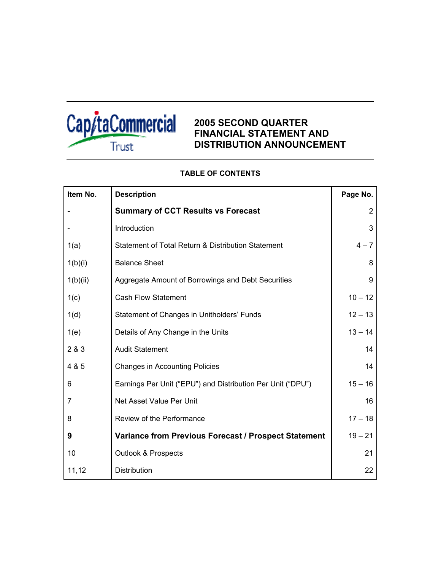

# **2005 SECOND QUARTER FINANCIAL STATEMENT AND DISTRIBUTION ANNOUNCEMENT**

| Item No.       | <b>Description</b>                                          | Page No.  |
|----------------|-------------------------------------------------------------|-----------|
|                | <b>Summary of CCT Results vs Forecast</b>                   | 2         |
|                | Introduction                                                | 3         |
| 1(a)           | Statement of Total Return & Distribution Statement          | $4 - 7$   |
| 1(b)(i)        | <b>Balance Sheet</b>                                        | 8         |
| 1(b)(ii)       | Aggregate Amount of Borrowings and Debt Securities          | 9         |
| 1(c)           | <b>Cash Flow Statement</b>                                  | $10 - 12$ |
| 1(d)           | Statement of Changes in Unitholders' Funds                  | $12 - 13$ |
| 1(e)           | Details of Any Change in the Units                          | $13 - 14$ |
| 2 & 3          | <b>Audit Statement</b>                                      | 14        |
| 4 & 5          | <b>Changes in Accounting Policies</b>                       | 14        |
| 6              | Earnings Per Unit ("EPU") and Distribution Per Unit ("DPU") | $15 - 16$ |
| $\overline{7}$ | Net Asset Value Per Unit                                    | 16        |
| 8              | Review of the Performance                                   | $17 - 18$ |
| 9              | Variance from Previous Forecast / Prospect Statement        | $19 - 21$ |
| 10             | <b>Outlook &amp; Prospects</b>                              | 21        |
| 11,12          | Distribution                                                | 22        |

# **TABLE OF CONTENTS**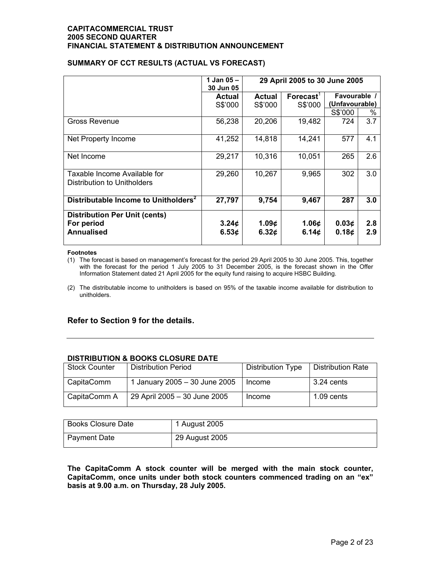### **SUMMARY OF CCT RESULTS (ACTUAL VS FORECAST)**

|                                                                         | 1 Jan $05 -$<br>30 Jun 05              | 29 April 2005 to 30 June 2005           |                       |                                |            |
|-------------------------------------------------------------------------|----------------------------------------|-----------------------------------------|-----------------------|--------------------------------|------------|
|                                                                         | <b>Actual</b>                          | Actual                                  | Forecast <sup>'</sup> | Favourable /<br>(Unfavourable) |            |
|                                                                         | S\$'000                                | S\$'000                                 | S\$'000               | S\$'000                        | %          |
| Gross Revenue                                                           | 56,238                                 | 20,206                                  | 19,482                | 724                            | 3.7        |
| Net Property Income                                                     | 41,252                                 | 14,818                                  | 14,241                | 577                            | 4.1        |
| Net Income                                                              | 29,217                                 | 10,316                                  | 10,051                | 265                            | 2.6        |
| Taxable Income Available for<br>Distribution to Unitholders             | 29,260                                 | 10,267                                  | 9,965                 | 302                            | 3.0        |
| Distributable Income to Unitholders <sup>2</sup>                        | 27,797                                 | 9,754                                   | 9,467                 | 287                            | 3.0        |
| <b>Distribution Per Unit (cents)</b><br>For period<br><b>Annualised</b> | 3.24 <sub>¢</sub><br>6.53 <sub>c</sub> | 1.09 $\phi$<br>6.32 $\boldsymbol{\phi}$ | 1.06 $\phi$<br>6.14¢  | 0.03¢<br>0.18¢                 | 2.8<br>2.9 |

#### **Footnotes**

(1) The forecast is based on management's forecast for the period 29 April 2005 to 30 June 2005. This, together with the forecast for the period 1 July 2005 to 31 December 2005, is the forecast shown in the Offer Information Statement dated 21 April 2005 for the equity fund raising to acquire HSBC Building.

(2) The distributable income to unitholders is based on 95% of the taxable income available for distribution to unitholders.

### **Refer to Section 9 for the details.**

### **DISTRIBUTION & BOOKS CLOSURE DATE**

| <b>Stock Counter</b> | <b>Distribution Period</b>    | <b>Distribution Type</b> | Distribution Rate |
|----------------------|-------------------------------|--------------------------|-------------------|
| CapitaComm           | 1 January 2005 - 30 June 2005 | Income                   | $3.24$ cents      |
| CapitaComm A         | 29 April 2005 - 30 June 2005  | Income                   | $1.09$ cents      |

| Books Closure Date  | 1 August 2005  |
|---------------------|----------------|
| <b>Payment Date</b> | 29 August 2005 |

**The CapitaComm A stock counter will be merged with the main stock counter, CapitaComm, once units under both stock counters commenced trading on an "ex" basis at 9.00 a.m. on Thursday, 28 July 2005.**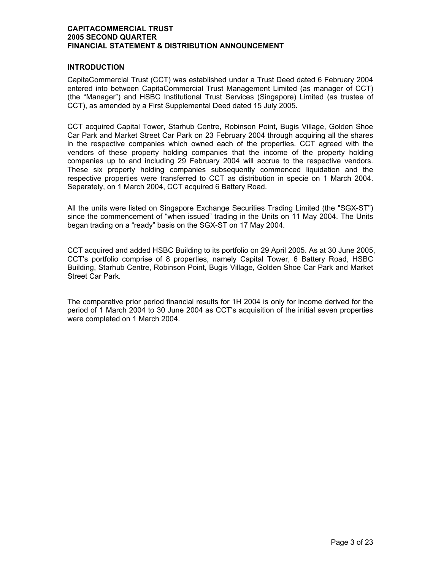### **INTRODUCTION**

CapitaCommercial Trust (CCT) was established under a Trust Deed dated 6 February 2004 entered into between CapitaCommercial Trust Management Limited (as manager of CCT) (the "Manager") and HSBC Institutional Trust Services (Singapore) Limited (as trustee of CCT), as amended by a First Supplemental Deed dated 15 July 2005.

CCT acquired Capital Tower, Starhub Centre, Robinson Point, Bugis Village, Golden Shoe Car Park and Market Street Car Park on 23 February 2004 through acquiring all the shares in the respective companies which owned each of the properties. CCT agreed with the vendors of these property holding companies that the income of the property holding companies up to and including 29 February 2004 will accrue to the respective vendors. These six property holding companies subsequently commenced liquidation and the respective properties were transferred to CCT as distribution in specie on 1 March 2004. Separately, on 1 March 2004, CCT acquired 6 Battery Road.

All the units were listed on Singapore Exchange Securities Trading Limited (the "SGX-ST") since the commencement of "when issued" trading in the Units on 11 May 2004. The Units began trading on a "ready" basis on the SGX-ST on 17 May 2004.

CCT acquired and added HSBC Building to its portfolio on 29 April 2005. As at 30 June 2005, CCT's portfolio comprise of 8 properties, namely Capital Tower, 6 Battery Road, HSBC Building, Starhub Centre, Robinson Point, Bugis Village, Golden Shoe Car Park and Market Street Car Park.

The comparative prior period financial results for 1H 2004 is only for income derived for the period of 1 March 2004 to 30 June 2004 as CCT's acquisition of the initial seven properties were completed on 1 March 2004.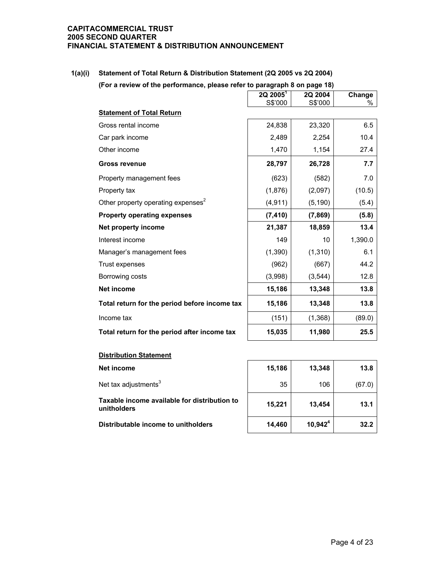**1(a)(i) Statement of Total Return & Distribution Statement (2Q 2005 vs 2Q 2004) (For a review of the performance, please refer to paragraph 8 on page 18)**

|                                                | $2Q$ $2005^1$<br>S\$'000 | 2Q 2004<br>S\$'000 | Change<br>℅ |
|------------------------------------------------|--------------------------|--------------------|-------------|
| <b>Statement of Total Return</b>               |                          |                    |             |
| Gross rental income                            | 24,838                   | 23,320             | 6.5         |
| Car park income                                | 2,489                    | 2,254              | 10.4        |
| Other income                                   | 1,470                    | 1,154              | 27.4        |
| <b>Gross revenue</b>                           | 28,797                   | 26,728             | 7.7         |
| Property management fees                       | (623)                    | (582)              | 7.0         |
| Property tax                                   | (1,876)                  | (2,097)            | (10.5)      |
| Other property operating expenses <sup>2</sup> | (4, 911)                 | (5, 190)           | (5.4)       |
| <b>Property operating expenses</b>             | (7, 410)                 | (7, 869)           | (5.8)       |
| Net property income                            | 21,387                   | 18,859             | 13.4        |
| Interest income                                | 149                      | 10                 | 1,390.0     |
| Manager's management fees                      | (1, 390)                 | (1, 310)           | 6.1         |
| Trust expenses                                 | (962)                    | (667)              | 44.2        |
| Borrowing costs                                | (3,998)                  | (3, 544)           | 12.8        |
| <b>Net income</b>                              | 15,186                   | 13,348             | 13.8        |
| Total return for the period before income tax  | 15,186                   | 13,348             | 13.8        |
| Income tax                                     | (151)                    | (1, 368)           | (89.0)      |
| Total return for the period after income tax   | 15,035                   | 11,980             | 25.5        |

#### **Distribution Statement**

| Net income                                                  | 15,186 | 13,348     | 13.8   |
|-------------------------------------------------------------|--------|------------|--------|
| Net tax adjustments $3$                                     | 35     | 106        | (67.0) |
| Taxable income available for distribution to<br>unitholders | 15,221 | 13,454     | 13.1   |
| Distributable income to unitholders                         | 14,460 | $10,942^4$ | 32.2   |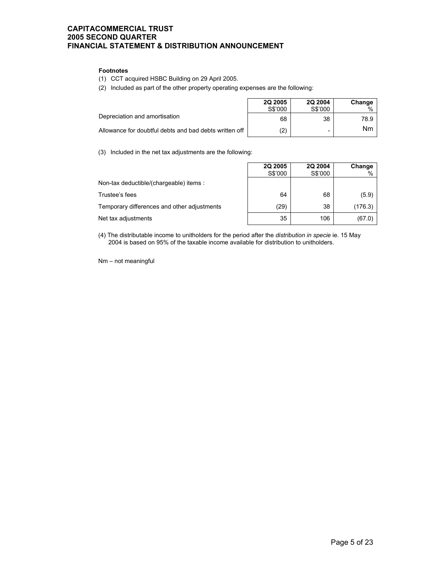#### **Footnotes**

(1) CCT acquired HSBC Building on 29 April 2005.

(2) Included as part of the other property operating expenses are the following:

|                                                        | <b>2Q 2005</b><br>S\$'000 | <b>2Q 2004</b><br>S\$'000 | Change |
|--------------------------------------------------------|---------------------------|---------------------------|--------|
|                                                        |                           |                           |        |
| Depreciation and amortisation                          | 68                        | 38                        | 78.9   |
| Allowance for doubtful debts and bad debts written off | (2)                       | -                         | Nm     |

(3) Included in the net tax adjustments are the following:

|                                             | <b>2Q 2005</b><br>S\$'000 | 2Q 2004<br>S\$'000 | Change  |
|---------------------------------------------|---------------------------|--------------------|---------|
| Non-tax deductible/(chargeable) items :     |                           |                    |         |
| Trustee's fees                              | 64                        | 68                 | (5.9)   |
| Temporary differences and other adjustments | (29)                      | 38                 | (176.3) |
| Net tax adjustments                         | 35                        | 106                | (67.0)  |

(4) The distributable income to unitholders for the period after the *distribution in specie* ie. 15 May 2004 is based on 95% of the taxable income available for distribution to unitholders.

Nm – not meaningful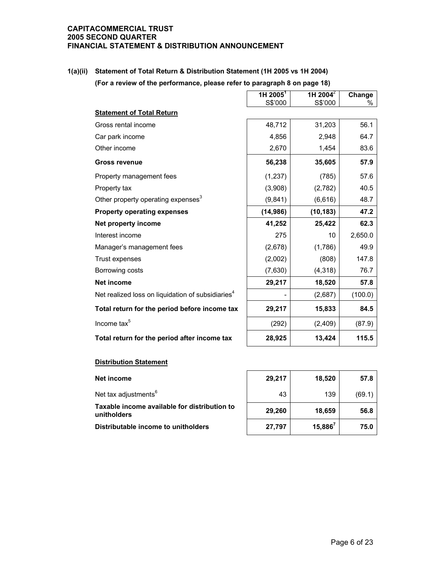### **1(a)(ii) Statement of Total Return & Distribution Statement (1H 2005 vs 1H 2004)**

**(For a review of the performance, please refer to paragraph 8 on page 18)** 

|                                                               | 1H 2005 <sup>1</sup> | 1H 2004 $^{2}$ | Change  |
|---------------------------------------------------------------|----------------------|----------------|---------|
| <b>Statement of Total Return</b>                              | S\$'000              | S\$'000        | %       |
|                                                               |                      |                |         |
| Gross rental income                                           | 48,712               | 31,203         | 56.1    |
| Car park income                                               | 4,856                | 2,948          | 64.7    |
| Other income                                                  | 2,670                | 1,454          | 83.6    |
| <b>Gross revenue</b>                                          | 56,238               | 35,605         | 57.9    |
| Property management fees                                      | (1, 237)             | (785)          | 57.6    |
| Property tax                                                  | (3,908)              | (2,782)        | 40.5    |
| Other property operating expenses <sup>3</sup>                | (9, 841)             | (6,616)        | 48.7    |
| <b>Property operating expenses</b>                            | (14, 986)            | (10, 183)      | 47.2    |
| Net property income                                           | 41,252               | 25,422         | 62.3    |
| Interest income                                               | 275                  | 10             | 2,650.0 |
| Manager's management fees                                     | (2,678)              | (1,786)        | 49.9    |
| Trust expenses                                                | (2,002)              | (808)          | 147.8   |
| Borrowing costs                                               | (7,630)              | (4, 318)       | 76.7    |
| <b>Net income</b>                                             | 29,217               | 18,520         | 57.8    |
| Net realized loss on liquidation of subsidiaries <sup>4</sup> |                      | (2,687)        | (100.0) |
| Total return for the period before income tax                 | 29,217               | 15,833         | 84.5    |
| Income tax <sup>5</sup>                                       | (292)                | (2,409)        | (87.9)  |
| Total return for the period after income tax                  | 28,925               | 13,424         | 115.5   |

### **Distribution Statement**

| Net income                                                  | 29,217 | 18,520     | 57.8   |
|-------------------------------------------------------------|--------|------------|--------|
| Net tax adjustments <sup>6</sup>                            | 43     | 139        | (69.1) |
| Taxable income available for distribution to<br>unitholders | 29,260 | 18.659     | 56.8   |
| Distributable income to unitholders                         | 27,797 | $15,886^7$ | 75.0   |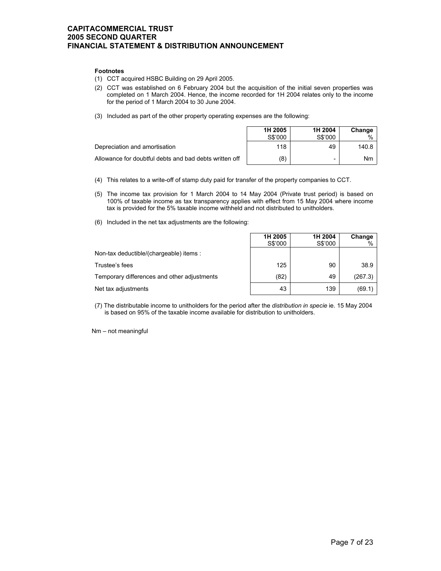#### **Footnotes**

(1) CCT acquired HSBC Building on 29 April 2005.

- (2) CCT was established on 6 February 2004 but the acquisition of the initial seven properties was completed on 1 March 2004. Hence, the income recorded for 1H 2004 relates only to the income for the period of 1 March 2004 to 30 June 2004.
- (3) Included as part of the other property operating expenses are the following:

|                                                        | 1H 2005<br>S\$'000 | 1H 2004<br>S\$'000 | Change<br>$\%$ |
|--------------------------------------------------------|--------------------|--------------------|----------------|
| Depreciation and amortisation                          | 118                | 49                 | 140.8          |
| Allowance for doubtful debts and bad debts written off | (8)                | -                  | Nm             |

- (4) This relates to a write-off of stamp duty paid for transfer of the property companies to CCT.
- (5) The income tax provision for 1 March 2004 to 14 May 2004 (Private trust period) is based on 100% of taxable income as tax transparency applies with effect from 15 May 2004 where income tax is provided for the 5% taxable income withheld and not distributed to unitholders.
- (6) Included in the net tax adjustments are the following:

|                                             | 1H 2005<br>S\$'000 | 1H 2004<br>S\$'000 | Change<br>$\%$ |
|---------------------------------------------|--------------------|--------------------|----------------|
| Non-tax deductible/(chargeable) items :     |                    |                    |                |
| Trustee's fees                              | 125                | 90                 | 38.9           |
| Temporary differences and other adjustments | (82)               | 49                 | (267.3)        |
| Net tax adjustments                         | 43                 | 139                | (69.1)         |

(7) The distributable income to unitholders for the period after the *distribution in specie* ie. 15 May 2004 is based on 95% of the taxable income available for distribution to unitholders.

Nm – not meaningful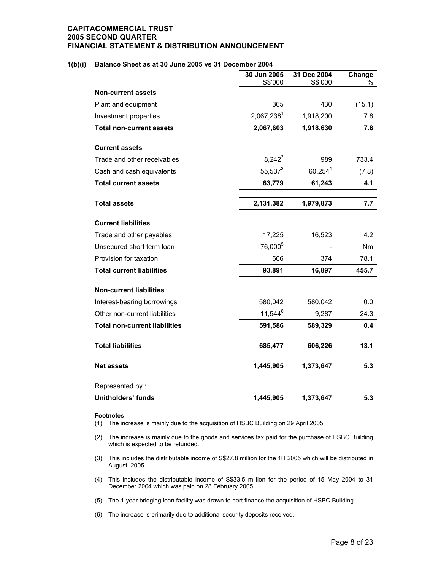#### **1(b)(i) Balance Sheet as at 30 June 2005 vs 31 December 2004**

|                                      | 30 Jun 2005         | 31 Dec 2004 | Change    |
|--------------------------------------|---------------------|-------------|-----------|
|                                      | S\$'000             | S\$'000     | %         |
| <b>Non-current assets</b>            |                     |             |           |
| Plant and equipment                  | 365                 | 430         | (15.1)    |
| Investment properties                | 2,067,2381          | 1,918,200   | 7.8       |
| <b>Total non-current assets</b>      | 2,067,603           | 1,918,630   | 7.8       |
| <b>Current assets</b>                |                     |             |           |
| Trade and other receivables          | $8,242^2$           | 989         | 733.4     |
| Cash and cash equivalents            | $55,537^3$          | $60,254^4$  | (7.8)     |
| <b>Total current assets</b>          | 63,779              | 61,243      | 4.1       |
|                                      |                     |             |           |
| <b>Total assets</b>                  | 2,131,382           | 1,979,873   | 7.7       |
| <b>Current liabilities</b>           |                     |             |           |
| Trade and other payables             | 17,225              | 16,523      | 4.2       |
| Unsecured short term loan            | 76,000 <sup>5</sup> |             | <b>Nm</b> |
| Provision for taxation               | 666                 | 374         | 78.1      |
| <b>Total current liabilities</b>     | 93,891              | 16,897      | 455.7     |
| <b>Non-current liabilities</b>       |                     |             |           |
| Interest-bearing borrowings          | 580,042             | 580,042     | 0.0       |
| Other non-current liabilities        | $11,544^6$          | 9,287       | 24.3      |
| <b>Total non-current liabilities</b> | 591,586             | 589,329     | 0.4       |
| <b>Total liabilities</b>             | 685,477             | 606,226     | 13.1      |
|                                      |                     |             |           |
| <b>Net assets</b>                    | 1,445,905           | 1,373,647   | 5.3       |
| Represented by:                      |                     |             |           |
| <b>Unitholders' funds</b>            | 1,445,905           | 1,373,647   | 5.3       |

#### **Footnotes**

(1) The increase is mainly due to the acquisition of HSBC Building on 29 April 2005.

- (2) The increase is mainly due to the goods and services tax paid for the purchase of HSBC Building which is expected to be refunded.
- (3) This includes the distributable income of S\$27.8 million for the 1H 2005 which will be distributed in August 2005.
- (4) This includes the distributable income of S\$33.5 million for the period of 15 May 2004 to 31 December 2004 which was paid on 28 February 2005.
- (5) The 1-year bridging loan facility was drawn to part finance the acquisition of HSBC Building.
- (6) The increase is primarily due to additional security deposits received.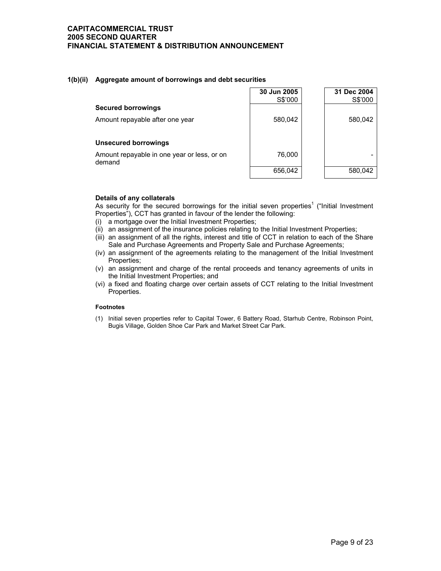#### **1(b)(ii) Aggregate amount of borrowings and debt securities**

|                                                       | 30 Jun 2005<br>S\$'000 | 31 Dec 2004<br>S\$'000 |
|-------------------------------------------------------|------------------------|------------------------|
| <b>Secured borrowings</b>                             |                        |                        |
| Amount repayable after one year                       | 580,042                | 580,042                |
| <b>Unsecured borrowings</b>                           |                        |                        |
| Amount repayable in one year or less, or on<br>demand | 76,000                 |                        |
|                                                       | 656,042                | 580,042                |

#### **Details of any collaterals**

As security for the secured borrowings for the initial seven properties<sup>1</sup> ("Initial Investment Properties"), CCT has granted in favour of the lender the following:

- (i) a mortgage over the Initial Investment Properties;
- (ii) an assignment of the insurance policies relating to the Initial Investment Properties;
- (iii) an assignment of all the rights, interest and title of CCT in relation to each of the Share Sale and Purchase Agreements and Property Sale and Purchase Agreements;
- (iv) an assignment of the agreements relating to the management of the Initial Investment Properties;
- (v) an assignment and charge of the rental proceeds and tenancy agreements of units in the Initial Investment Properties; and
- (vi) a fixed and floating charge over certain assets of CCT relating to the Initial Investment Properties.

#### **Footnotes**

(1) Initial seven properties refer to Capital Tower, 6 Battery Road, Starhub Centre, Robinson Point, Bugis Village, Golden Shoe Car Park and Market Street Car Park.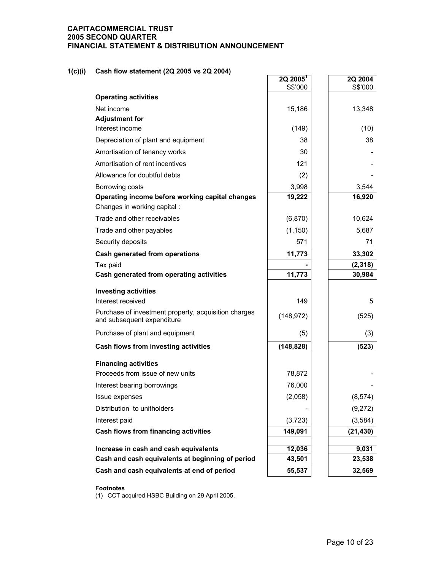### **1(c)(i) Cash flow statement (2Q 2005 vs 2Q 2004)**

|                                                                                    | $2Q$ 2005 <sup>1</sup><br>S\$'000 | 2Q 2004<br>S\$'000 |
|------------------------------------------------------------------------------------|-----------------------------------|--------------------|
| <b>Operating activities</b>                                                        |                                   |                    |
| Net income                                                                         | 15,186                            | 13,348             |
| <b>Adjustment for</b>                                                              |                                   |                    |
| Interest income                                                                    | (149)                             | (10)               |
| Depreciation of plant and equipment                                                | 38                                | 38                 |
| Amortisation of tenancy works                                                      | 30                                |                    |
| Amortisation of rent incentives                                                    | 121                               |                    |
| Allowance for doubtful debts                                                       | (2)                               |                    |
| Borrowing costs                                                                    | 3,998                             | 3,544              |
| Operating income before working capital changes<br>Changes in working capital :    | 19,222                            | 16,920             |
| Trade and other receivables                                                        | (6, 870)                          | 10,624             |
| Trade and other payables                                                           | (1, 150)                          | 5,687              |
| Security deposits                                                                  | 571                               | 71                 |
| <b>Cash generated from operations</b>                                              | 11,773                            | 33,302             |
| Tax paid                                                                           |                                   | (2, 318)           |
| Cash generated from operating activities                                           | 11,773                            | 30,984             |
| <b>Investing activities</b>                                                        |                                   |                    |
| Interest received                                                                  | 149                               | 5                  |
| Purchase of investment property, acquisition charges<br>and subsequent expenditure | (148, 972)                        | (525)              |
| Purchase of plant and equipment                                                    | (5)                               | (3)                |
| Cash flows from investing activities                                               | (148, 828)                        | (523)              |
| <b>Financing activities</b>                                                        |                                   |                    |
| Proceeds from issue of new units                                                   | 78,872                            |                    |
| Interest bearing borrowings                                                        | 76,000                            |                    |
| Issue expenses                                                                     | (2,058)                           | (8, 574)           |
| Distribution to unitholders                                                        |                                   | (9,272)            |
| Interest paid                                                                      | (3, 723)                          | (3, 584)           |
| Cash flows from financing activities                                               | 149,091                           | (21, 430)          |
| Increase in cash and cash equivalents                                              | 12,036                            | 9,031              |
| Cash and cash equivalents at beginning of period                                   | 43,501                            | 23,538             |
| Cash and cash equivalents at end of period                                         | 55,537                            | 32,569             |

#### **Footnotes**

(1) CCT acquired HSBC Building on 29 April 2005.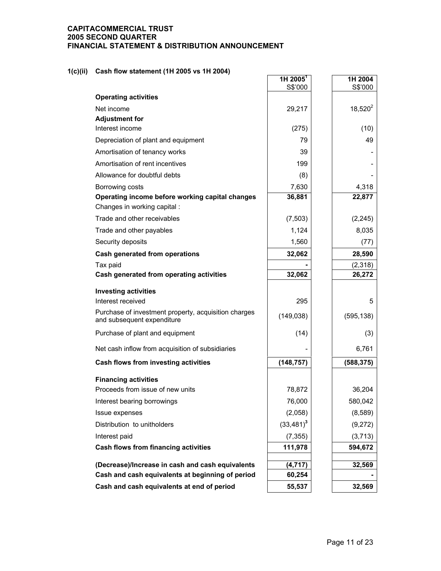### **1(c)(ii) Cash flow statement (1H 2005 vs 1H 2004)**

|                                                                                    | 1H 2005 <sup>1</sup> | 1H 2004    |
|------------------------------------------------------------------------------------|----------------------|------------|
|                                                                                    | S\$'000              | S\$'000    |
| <b>Operating activities</b>                                                        |                      |            |
| Net income<br><b>Adjustment for</b>                                                | 29,217               | $18,520^2$ |
| Interest income                                                                    | (275)                | (10)       |
| Depreciation of plant and equipment                                                | 79                   | 49         |
| Amortisation of tenancy works                                                      | 39                   |            |
| Amortisation of rent incentives                                                    | 199                  |            |
| Allowance for doubtful debts                                                       | (8)                  |            |
| Borrowing costs                                                                    | 7,630                | 4,318      |
| Operating income before working capital changes<br>Changes in working capital :    | 36,881               | 22,877     |
| Trade and other receivables                                                        | (7, 503)             | (2, 245)   |
| Trade and other payables                                                           | 1,124                | 8,035      |
| Security deposits                                                                  | 1,560                | (77)       |
| <b>Cash generated from operations</b>                                              | 32,062               | 28,590     |
| Tax paid                                                                           |                      | (2,318)    |
| Cash generated from operating activities                                           | 32,062               | 26,272     |
| <b>Investing activities</b>                                                        |                      |            |
| Interest received                                                                  | 295                  | 5          |
| Purchase of investment property, acquisition charges<br>and subsequent expenditure | (149, 038)           | (595, 138) |
| Purchase of plant and equipment                                                    | (14)                 | (3)        |
| Net cash inflow from acquisition of subsidiaries                                   |                      | 6,761      |
| Cash flows from investing activities                                               | (148, 757)           | (588, 375) |
| <b>Financing activities</b>                                                        |                      |            |
| Proceeds from issue of new units                                                   | 78,872               | 36,204     |
| Interest bearing borrowings                                                        | 76,000               | 580,042    |
| Issue expenses                                                                     | (2,058)              | (8,589)    |
| Distribution to unitholders                                                        | $(33,481)^3$         | (9,272)    |
| Interest paid                                                                      | (7, 355)             | (3, 713)   |
| Cash flows from financing activities                                               | 111,978              | 594,672    |
| (Decrease)/Increase in cash and cash equivalents                                   | (4, 717)             | 32,569     |
| Cash and cash equivalents at beginning of period                                   | 60,254               |            |
| Cash and cash equivalents at end of period                                         | 55,537               | 32,569     |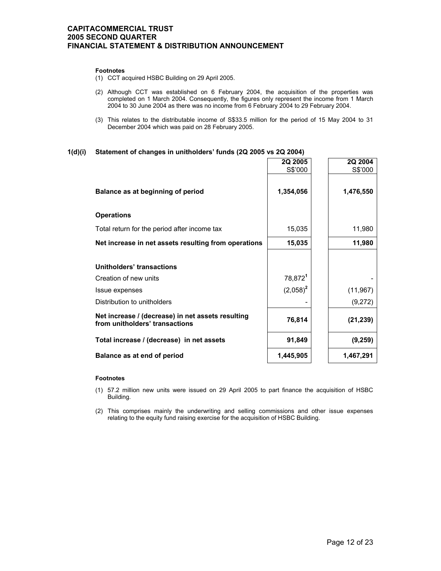#### **Footnotes**

- (1) CCT acquired HSBC Building on 29 April 2005.
- (2) Although CCT was established on 6 February 2004, the acquisition of the properties was completed on 1 March 2004. Consequently, the figures only represent the income from 1 March 2004 to 30 June 2004 as there was no income from 6 February 2004 to 29 February 2004.
- (3) This relates to the distributable income of S\$33.5 million for the period of 15 May 2004 to 31 December 2004 which was paid on 28 February 2005.

#### **1(d)(i) Statement of changes in unitholders' funds (2Q 2005 vs 2Q 2004)**

|                                                                                     | 2Q 2005<br>S\$'000  | 2Q 2004<br>S\$'000 |
|-------------------------------------------------------------------------------------|---------------------|--------------------|
| Balance as at beginning of period                                                   | 1,354,056           | 1,476,550          |
| <b>Operations</b>                                                                   |                     |                    |
| Total return for the period after income tax                                        | 15,035              | 11,980             |
| Net increase in net assets resulting from operations                                | 15,035              | 11,980             |
| Unitholders' transactions                                                           |                     |                    |
| Creation of new units                                                               | 78,872 <sup>1</sup> |                    |
| Issue expenses                                                                      | $(2,058)^2$         | (11, 967)          |
| Distribution to unitholders                                                         |                     | (9,272)            |
| Net increase / (decrease) in net assets resulting<br>from unitholders' transactions | 76,814              | (21, 239)          |
| Total increase / (decrease) in net assets                                           | 91,849              | (9, 259)           |
| Balance as at end of period                                                         | 1,445,905           | 1,467,291          |

#### **Footnotes**

- (1) 57.2 million new units were issued on 29 April 2005 to part finance the acquisition of HSBC Building.
- (2) This comprises mainly the underwriting and selling commissions and other issue expenses relating to the equity fund raising exercise for the acquisition of HSBC Building.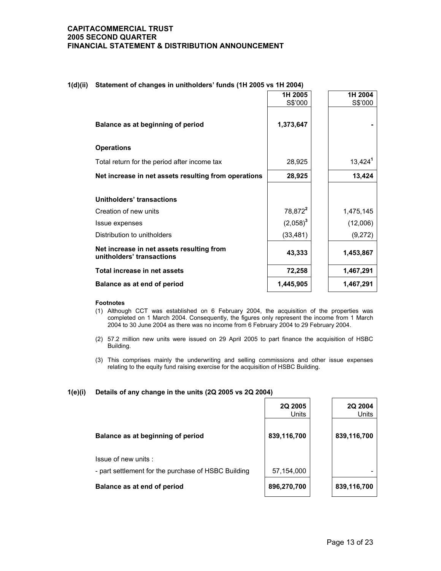#### **1(d)(ii) Statement of changes in unitholders' funds (1H 2005 vs 1H 2004)**

|                                                                        | 1H 2005<br>S\$'000  | 1H 2004<br>S\$'000 |
|------------------------------------------------------------------------|---------------------|--------------------|
|                                                                        |                     |                    |
| Balance as at beginning of period                                      | 1,373,647           |                    |
|                                                                        |                     |                    |
| <b>Operations</b>                                                      |                     |                    |
| Total return for the period after income tax                           | 28,925              | $13,424^1$         |
| Net increase in net assets resulting from operations                   | 28,925              | 13,424             |
|                                                                        |                     |                    |
| <b>Unitholders' transactions</b>                                       |                     |                    |
| Creation of new units                                                  | 78,872 <sup>2</sup> | 1,475,145          |
| Issue expenses                                                         | $(2,058)^3$         | (12,006)           |
| Distribution to unitholders                                            | (33, 481)           | (9,272)            |
| Net increase in net assets resulting from<br>unitholders' transactions | 43,333              | 1,453,867          |
| Total increase in net assets                                           | 72,258              | 1,467,291          |
| Balance as at end of period                                            | 1,445,905           | 1,467,291          |

#### **Footnotes**

- (1) Although CCT was established on 6 February 2004, the acquisition of the properties was completed on 1 March 2004. Consequently, the figures only represent the income from 1 March 2004 to 30 June 2004 as there was no income from 6 February 2004 to 29 February 2004.
- (2) 57.2 million new units were issued on 29 April 2005 to part finance the acquisition of HSBC Building.
- (3) This comprises mainly the underwriting and selling commissions and other issue expenses relating to the equity fund raising exercise for the acquisition of HSBC Building.

#### **1(e)(i) Details of any change in the units (2Q 2005 vs 2Q 2004)**

|                                                                            | 2Q 2005<br><b>Units</b> | 2Q 2004<br>Units |
|----------------------------------------------------------------------------|-------------------------|------------------|
| Balance as at beginning of period                                          | 839,116,700             | 839,116,700      |
| Issue of new units:<br>- part settlement for the purchase of HSBC Building | 57,154,000              |                  |
| Balance as at end of period                                                | 896,270,700             | 839,116,700      |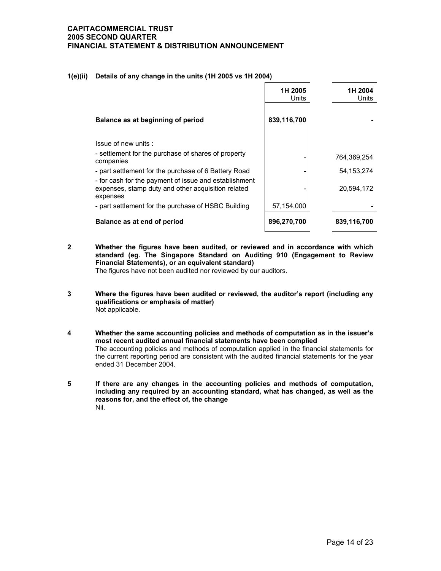#### **1(e)(ii) Details of any change in the units (1H 2005 vs 1H 2004)**

|                                                                                                                         | 1H 2005<br>Units | 1H 2004<br>Units |
|-------------------------------------------------------------------------------------------------------------------------|------------------|------------------|
| Balance as at beginning of period                                                                                       | 839,116,700      |                  |
| Issue of new units:                                                                                                     |                  |                  |
| - settlement for the purchase of shares of property<br>companies                                                        |                  | 764,369,254      |
| - part settlement for the purchase of 6 Battery Road                                                                    |                  | 54.153.274       |
| - for cash for the payment of issue and establishment<br>expenses, stamp duty and other acquisition related<br>expenses |                  | 20,594,172       |
| - part settlement for the purchase of HSBC Building                                                                     | 57,154,000       |                  |
| Balance as at end of period                                                                                             | 896,270,700      | 839,116,700      |

**2 Whether the figures have been audited, or reviewed and in accordance with which standard (eg. The Singapore Standard on Auditing 910 (Engagement to Review Financial Statements), or an equivalent standard)** 

The figures have not been audited nor reviewed by our auditors.

- **3 Where the figures have been audited or reviewed, the auditor's report (including any qualifications or emphasis of matter)**  Not applicable.
- **4 Whether the same accounting policies and methods of computation as in the issuer's most recent audited annual financial statements have been complied**  The accounting policies and methods of computation applied in the financial statements for the current reporting period are consistent with the audited financial statements for the year ended 31 December 2004.
- **5 If there are any changes in the accounting policies and methods of computation, including any required by an accounting standard, what has changed, as well as the reasons for, and the effect of, the change**  Nil.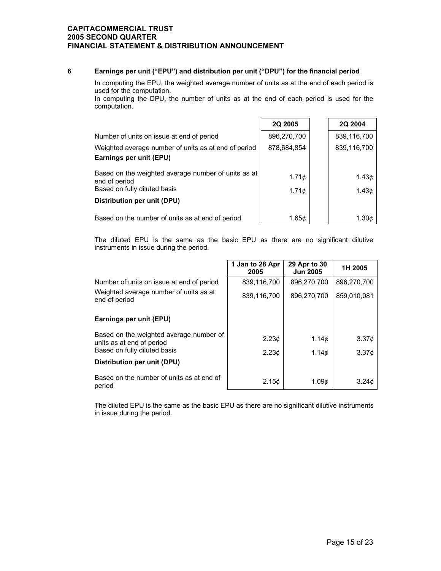### **6 Earnings per unit ("EPU") and distribution per unit ("DPU") for the financial period**

 In computing the EPU, the weighted average number of units as at the end of each period is used for the computation.

 In computing the DPU, the number of units as at the end of each period is used for the computation.

|                                                                                                      | <b>2Q 2005</b>      | 2Q 2004        |
|------------------------------------------------------------------------------------------------------|---------------------|----------------|
| Number of units on issue at end of period                                                            | 896,270,700         | 839,116,700    |
| Weighted average number of units as at end of period<br>Earnings per unit (EPU)                      | 878,684,854         | 839,116,700    |
| Based on the weighted average number of units as at<br>end of period<br>Based on fully diluted basis | 1.71¢<br>$1.71\phi$ | 1.43¢<br>1.43¢ |
| Distribution per unit (DPU)                                                                          |                     |                |
| Based on the number of units as at end of period                                                     | 1.65¢               | 1.30c          |

The diluted EPU is the same as the basic EPU as there are no significant dilutive instruments in issue during the period.

|                                                                      | 1 Jan to 28 Apr<br>2005 | 29 Apr to 30<br><b>Jun 2005</b> | 1H 2005           |
|----------------------------------------------------------------------|-------------------------|---------------------------------|-------------------|
| Number of units on issue at end of period                            | 839,116,700             | 896,270,700                     | 896.270.700       |
| Weighted average number of units as at<br>end of period              | 839,116,700             | 896.270.700                     | 859,010,081       |
| Earnings per unit (EPU)                                              |                         |                                 |                   |
| Based on the weighted average number of<br>units as at end of period | 2.23 <sub>c</sub>       | 1.14c                           | 3.37 <sub>¢</sub> |
| Based on fully diluted basis                                         | 2.23 <sub>c</sub>       | 1.14c                           | 3.37 <sub>¢</sub> |
| Distribution per unit (DPU)                                          |                         |                                 |                   |
| Based on the number of units as at end of<br>period                  | 2.15c                   | 1.09 <sub>c</sub>               | 3.24 <sub>c</sub> |

The diluted EPU is the same as the basic EPU as there are no significant dilutive instruments in issue during the period.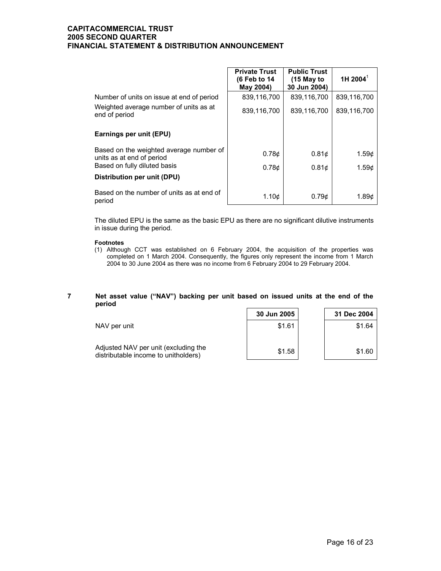|                                                                      | <b>Private Trust</b><br>(6 Feb to 14<br>May 2004) | <b>Public Trust</b><br>$(15$ May to<br>30 Jun 2004) | 1H 2004 <sup>1</sup> |
|----------------------------------------------------------------------|---------------------------------------------------|-----------------------------------------------------|----------------------|
| Number of units on issue at end of period                            | 839,116,700                                       | 839,116,700                                         | 839,116,700          |
| Weighted average number of units as at<br>end of period              | 839,116,700                                       | 839,116,700                                         | 839,116,700          |
| Earnings per unit (EPU)                                              |                                                   |                                                     |                      |
| Based on the weighted average number of<br>units as at end of period | 0.78 <sub>c</sub>                                 | 0.81 <sub>c</sub>                                   | 1.59¢                |
| Based on fully diluted basis                                         | 0.78 <sub>c</sub>                                 | 0.81 <sub>c</sub>                                   | 1.59c                |
| Distribution per unit (DPU)                                          |                                                   |                                                     |                      |
| Based on the number of units as at end of<br>period                  | 1.10 <sub>c</sub>                                 | 0.79c                                               | 1.89 <sub>c</sub>    |

The diluted EPU is the same as the basic EPU as there are no significant dilutive instruments in issue during the period.

#### **Footnotes**

(1) Although CCT was established on 6 February 2004, the acquisition of the properties was completed on 1 March 2004. Consequently, the figures only represent the income from 1 March 2004 to 30 June 2004 as there was no income from 6 February 2004 to 29 February 2004.

#### **7 Net asset value ("NAV") backing per unit based on issued units at the end of the period**

|                                                                              | 30 Jun 2005 | 31 Dec 2004 |
|------------------------------------------------------------------------------|-------------|-------------|
| NAV per unit                                                                 | \$1.61      | \$1.64      |
| Adjusted NAV per unit (excluding the<br>distributable income to unitholders) | \$1.58      | \$1.60      |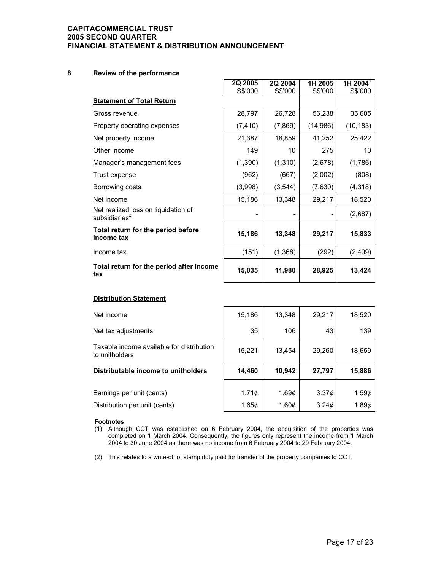### **8 Review of the performance**

|                                                         | 2Q 2005  | 2Q 2004  | 1H 2005  | 1H 2004 <sup>T</sup> |
|---------------------------------------------------------|----------|----------|----------|----------------------|
| <b>Statement of Total Return</b>                        | S\$'000  | S\$'000  | S\$'000  | S\$'000              |
| Gross revenue                                           | 28,797   | 26,728   | 56,238   | 35,605               |
| Property operating expenses                             | (7, 410) | (7, 869) | (14,986) | (10, 183)            |
| Net property income                                     | 21,387   | 18,859   | 41,252   | 25,422               |
| Other Income                                            | 149      | 10       | 275      | 10                   |
| Manager's management fees                               | (1,390)  | (1, 310) | (2,678)  | (1,786)              |
| Trust expense                                           | (962)    | (667)    | (2,002)  | (808)                |
| Borrowing costs                                         | (3,998)  | (3, 544) | (7,630)  | (4, 318)             |
| Net income                                              | 15,186   | 13,348   | 29,217   | 18,520               |
| Net realized loss on liquidation of<br>subsidiaries $2$ |          |          |          | (2,687)              |
| Total return for the period before<br>income tax        | 15,186   | 13,348   | 29,217   | 15,833               |
| Income tax                                              | (151)    | (1,368)  | (292)    | (2,409)              |
| Total return for the period after income<br>tax         | 15,035   | 11,980   | 28,925   | 13,424               |

#### **Distribution Statement**

| Net income                                                  | 15,186            | 13,348 | 29,217            | 18,520      |
|-------------------------------------------------------------|-------------------|--------|-------------------|-------------|
| Net tax adjustments                                         | 35                | 106    | 43                | 139         |
| Taxable income available for distribution<br>to unitholders | 15,221            | 13,454 | 29,260            | 18,659      |
| Distributable income to unitholders                         | 14,460            | 10,942 | 27,797            | 15,886      |
| Earnings per unit (cents)                                   | 1.71 <sub>c</sub> | 1.69¢  | 3.37 <sub>c</sub> | 1.59¢       |
| Distribution per unit (cents)                               | 1.65c             | 1.60¢  | 3.24 <sub>c</sub> | 1.89 $\phi$ |

#### **Footnotes**

(1) Although CCT was established on 6 February 2004, the acquisition of the properties was completed on 1 March 2004. Consequently, the figures only represent the income from 1 March 2004 to 30 June 2004 as there was no income from 6 February 2004 to 29 February 2004.

(2) This relates to a write-off of stamp duty paid for transfer of the property companies to CCT.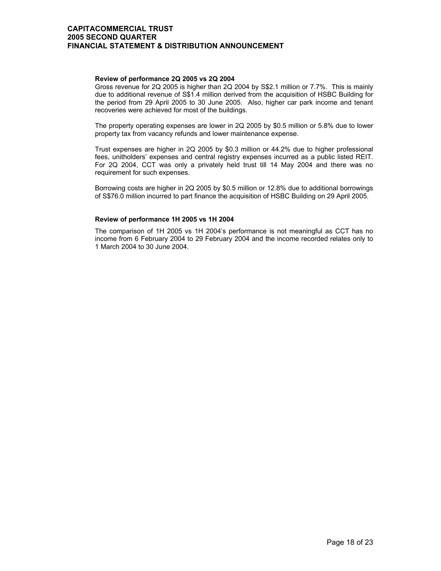#### **Review of performance 2Q 2005 vs 2Q 2004**

 Gross revenue for 2Q 2005 is higher than 2Q 2004 by S\$2.1 million or 7.7%. This is mainly due to additional revenue of S\$1.4 million derived from the acquisition of HSBC Building for the period from 29 April 2005 to 30 June 2005. Also, higher car park income and tenant recoveries were achieved for most of the buildings.

The property operating expenses are lower in 2Q 2005 by \$0.5 million or 5.8% due to lower property tax from vacancy refunds and lower maintenance expense.

Trust expenses are higher in 2Q 2005 by \$0.3 million or 44.2% due to higher professional fees, unitholders' expenses and central registry expenses incurred as a public listed REIT. For 2Q 2004, CCT was only a privately held trust till 14 May 2004 and there was no requirement for such expenses.

Borrowing costs are higher in 2Q 2005 by \$0.5 million or 12.8% due to additional borrowings of S\$76.0 million incurred to part finance the acquisition of HSBC Building on 29 April 2005.

#### **Review of performance 1H 2005 vs 1H 2004**

 The comparison of 1H 2005 vs 1H 2004's performance is not meaningful as CCT has no income from 6 February 2004 to 29 February 2004 and the income recorded relates only to 1 March 2004 to 30 June 2004.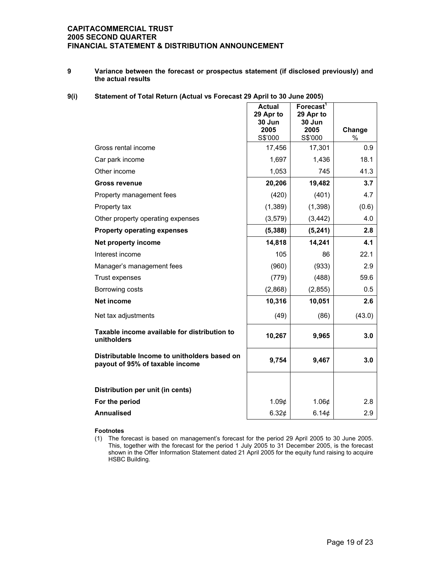**9 Variance between the forecast or prospectus statement (if disclosed previously) and the actual results** 

### **9(i) Statement of Total Return (Actual vs Forecast 29 April to 30 June 2005)**

|                                                                                 | <b>Actual</b><br>29 Apr to | Forecast <sup>1</sup><br>29 Apr to |        |
|---------------------------------------------------------------------------------|----------------------------|------------------------------------|--------|
|                                                                                 | 30 Jun<br>2005             | 30 Jun<br>2005                     | Change |
|                                                                                 | S\$'000                    | S\$'000                            | $\%$   |
| Gross rental income                                                             | 17,456                     | 17,301                             | 0.9    |
| Car park income                                                                 | 1,697                      | 1,436                              | 18.1   |
| Other income                                                                    | 1,053                      | 745                                | 41.3   |
| Gross revenue                                                                   | 20,206                     | 19,482                             | 3.7    |
| Property management fees                                                        | (420)                      | (401)                              | 4.7    |
| Property tax                                                                    | (1, 389)                   | (1, 398)                           | (0.6)  |
| Other property operating expenses                                               | (3, 579)                   | (3, 442)                           | 4.0    |
| <b>Property operating expenses</b>                                              | (5, 388)                   | (5, 241)                           | 2.8    |
| Net property income                                                             | 14,818                     | 14,241                             | 4.1    |
| Interest income                                                                 | 105                        | 86                                 | 22.1   |
| Manager's management fees                                                       | (960)                      | (933)                              | 2.9    |
| Trust expenses                                                                  | (779)                      | (488)                              | 59.6   |
| Borrowing costs                                                                 | (2,868)                    | (2, 855)                           | 0.5    |
| <b>Net income</b>                                                               | 10,316                     | 10,051                             | 2.6    |
| Net tax adjustments                                                             | (49)                       | (86)                               | (43.0) |
| Taxable income available for distribution to<br>unitholders                     | 10,267                     | 9,965                              | 3.0    |
| Distributable Income to unitholders based on<br>payout of 95% of taxable income | 9,754                      | 9,467                              | 3.0    |
|                                                                                 |                            |                                    |        |
| Distribution per unit (in cents)                                                |                            |                                    |        |
| For the period                                                                  | 1.09 <sub>¢</sub>          | 1.06¢                              | 2.8    |
| <b>Annualised</b>                                                               | 6.32¢                      | 6.14¢                              | 2.9    |

#### **Footnotes**

(1) The forecast is based on management's forecast for the period 29 April 2005 to 30 June 2005. This, together with the forecast for the period 1 July 2005 to 31 December 2005, is the forecast shown in the Offer Information Statement dated 21 April 2005 for the equity fund raising to acquire HSBC Building.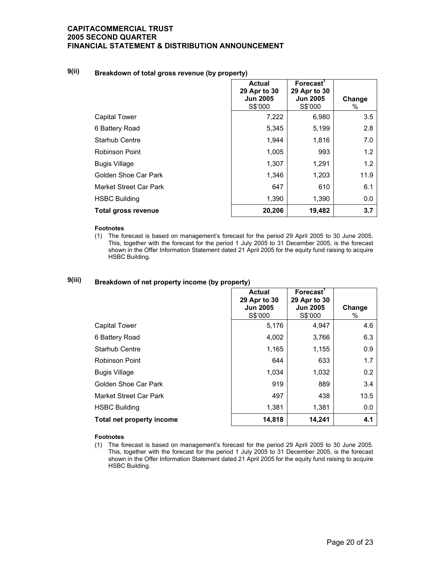# **9(ii) Breakdown of total gross revenue (by property)**

|                            | <b>Actual</b><br>29 Apr to 30<br><b>Jun 2005</b><br>S\$'000 | Forecast <sup>1</sup><br>29 Apr to 30<br><b>Jun 2005</b><br>S\$'000 | Change<br>% |
|----------------------------|-------------------------------------------------------------|---------------------------------------------------------------------|-------------|
| <b>Capital Tower</b>       | 7,222                                                       | 6,980                                                               | 3.5         |
| 6 Battery Road             | 5,345                                                       | 5,199                                                               | 2.8         |
| Starhub Centre             | 1,944                                                       | 1,816                                                               | 7.0         |
| Robinson Point             | 1,005                                                       | 993                                                                 | 1.2         |
| <b>Bugis Village</b>       | 1,307                                                       | 1,291                                                               | 1.2         |
| Golden Shoe Car Park       | 1,346                                                       | 1,203                                                               | 11.9        |
| Market Street Car Park     | 647                                                         | 610                                                                 | 6.1         |
| <b>HSBC Building</b>       | 1,390                                                       | 1,390                                                               | 0.0         |
| <b>Total gross revenue</b> | 20,206                                                      | 19,482                                                              | 3.7         |

#### **Footnotes**

(1) The forecast is based on management's forecast for the period 29 April 2005 to 30 June 2005. This, together with the forecast for the period 1 July 2005 to 31 December 2005, is the forecast shown in the Offer Information Statement dated 21 April 2005 for the equity fund raising to acquire HSBC Building.

# **9(iii) Breakdown of net property income (by property)**

|                           | <b>Actual</b><br>29 Apr to 30<br><b>Jun 2005</b><br>S\$'000 | Forecast <sup>1</sup><br>29 Apr to 30<br><b>Jun 2005</b><br>S\$'000 | Change<br>% |
|---------------------------|-------------------------------------------------------------|---------------------------------------------------------------------|-------------|
| <b>Capital Tower</b>      | 5,176                                                       | 4,947                                                               | 4.6         |
| 6 Battery Road            | 4,002                                                       | 3,766                                                               | 6.3         |
| <b>Starhub Centre</b>     | 1,165                                                       | 1,155                                                               | 0.9         |
| Robinson Point            | 644                                                         | 633                                                                 | 1.7         |
| <b>Bugis Village</b>      | 1,034                                                       | 1,032                                                               | 0.2         |
| Golden Shoe Car Park      | 919                                                         | 889                                                                 | 3.4         |
| Market Street Car Park    | 497                                                         | 438                                                                 | 13.5        |
| <b>HSBC Building</b>      | 1,381                                                       | 1,381                                                               | 0.0         |
| Total net property income | 14,818                                                      | 14,241                                                              | 4.1         |

#### **Footnotes**

(1) The forecast is based on management's forecast for the period 29 April 2005 to 30 June 2005. This, together with the forecast for the period 1 July 2005 to 31 December 2005, is the forecast shown in the Offer Information Statement dated 21 April 2005 for the equity fund raising to acquire HSBC Building.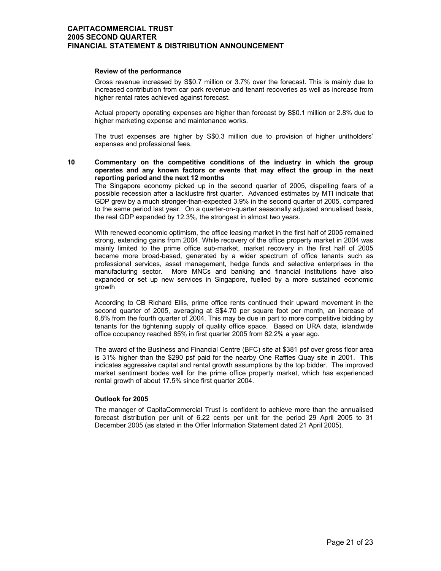#### **Review of the performance**

 Gross revenue increased by S\$0.7 million or 3.7% over the forecast. This is mainly due to increased contribution from car park revenue and tenant recoveries as well as increase from higher rental rates achieved against forecast.

Actual property operating expenses are higher than forecast by S\$0.1 million or 2.8% due to higher marketing expense and maintenance works.

The trust expenses are higher by S\$0.3 million due to provision of higher unitholders' expenses and professional fees.

#### **10 Commentary on the competitive conditions of the industry in which the group operates and any known factors or events that may effect the group in the next reporting period and the next 12 months**

 The Singapore economy picked up in the second quarter of 2005, dispelling fears of a possible recession after a lacklustre first quarter. Advanced estimates by MTI indicate that GDP grew by a much stronger-than-expected 3.9% in the second quarter of 2005, compared to the same period last year. On a quarter-on-quarter seasonally adjusted annualised basis, the real GDP expanded by 12.3%, the strongest in almost two years.

With renewed economic optimism, the office leasing market in the first half of 2005 remained strong, extending gains from 2004. While recovery of the office property market in 2004 was mainly limited to the prime office sub-market, market recovery in the first half of 2005 became more broad-based, generated by a wider spectrum of office tenants such as professional services, asset management, hedge funds and selective enterprises in the manufacturing sector. More MNCs and banking and financial institutions have also expanded or set up new services in Singapore, fuelled by a more sustained economic growth

According to CB Richard Ellis, prime office rents continued their upward movement in the second quarter of 2005, averaging at S\$4.70 per square foot per month, an increase of 6.8% from the fourth quarter of 2004. This may be due in part to more competitive bidding by tenants for the tightening supply of quality office space. Based on URA data, islandwide office occupancy reached 85% in first quarter 2005 from 82.2% a year ago.

The award of the Business and Financial Centre (BFC) site at \$381 psf over gross floor area is 31% higher than the \$290 psf paid for the nearby One Raffles Quay site in 2001. This indicates aggressive capital and rental growth assumptions by the top bidder. The improved market sentiment bodes well for the prime office property market, which has experienced rental growth of about 17.5% since first quarter 2004.

#### **Outlook for 2005**

 The manager of CapitaCommercial Trust is confident to achieve more than the annualised forecast distribution per unit of 6.22 cents per unit for the period 29 April 2005 to 31 December 2005 (as stated in the Offer Information Statement dated 21 April 2005).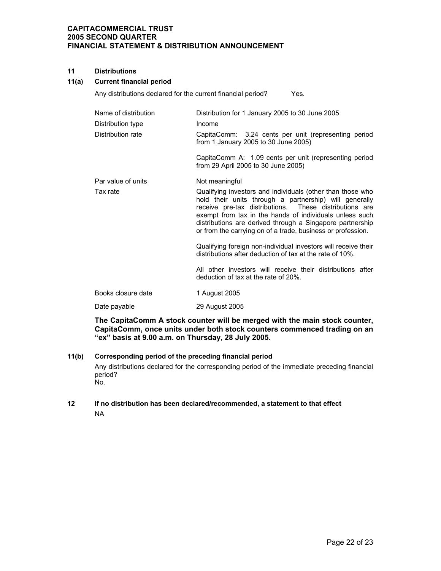#### **11 Distributions**

#### **11(a) Current financial period**

Any distributions declared for the current financial period? Yes.

| Name of distribution<br>Distribution type<br>Distribution rate | Distribution for 1 January 2005 to 30 June 2005<br>Income<br>CapitaComm: 3.24 cents per unit (representing period<br>from 1 January 2005 to 30 June 2005)<br>CapitaComm A: 1.09 cents per unit (representing period<br>from 29 April 2005 to 30 June 2005)                                                                                                                                                                                                                                                                                                                                                                  |
|----------------------------------------------------------------|-----------------------------------------------------------------------------------------------------------------------------------------------------------------------------------------------------------------------------------------------------------------------------------------------------------------------------------------------------------------------------------------------------------------------------------------------------------------------------------------------------------------------------------------------------------------------------------------------------------------------------|
| Par value of units<br>Tax rate                                 | Not meaningful<br>Qualifying investors and individuals (other than those who<br>hold their units through a partnership) will generally<br>receive pre-tax distributions. These distributions are<br>exempt from tax in the hands of individuals unless such<br>distributions are derived through a Singapore partnership<br>or from the carrying on of a trade, business or profession.<br>Qualifying foreign non-individual investors will receive their<br>distributions after deduction of tax at the rate of 10%.<br>All other investors will receive their distributions after<br>deduction of tax at the rate of 20%. |
| Books closure date                                             | 1 August 2005                                                                                                                                                                                                                                                                                                                                                                                                                                                                                                                                                                                                               |
| Date payable                                                   | 29 August 2005                                                                                                                                                                                                                                                                                                                                                                                                                                                                                                                                                                                                              |

**The CapitaComm A stock counter will be merged with the main stock counter, CapitaComm, once units under both stock counters commenced trading on an "ex" basis at 9.00 a.m. on Thursday, 28 July 2005.**

#### **11(b) Corresponding period of the preceding financial period**

Any distributions declared for the corresponding period of the immediate preceding financial period? No.

### **12 If no distribution has been declared/recommended, a statement to that effect**  NA